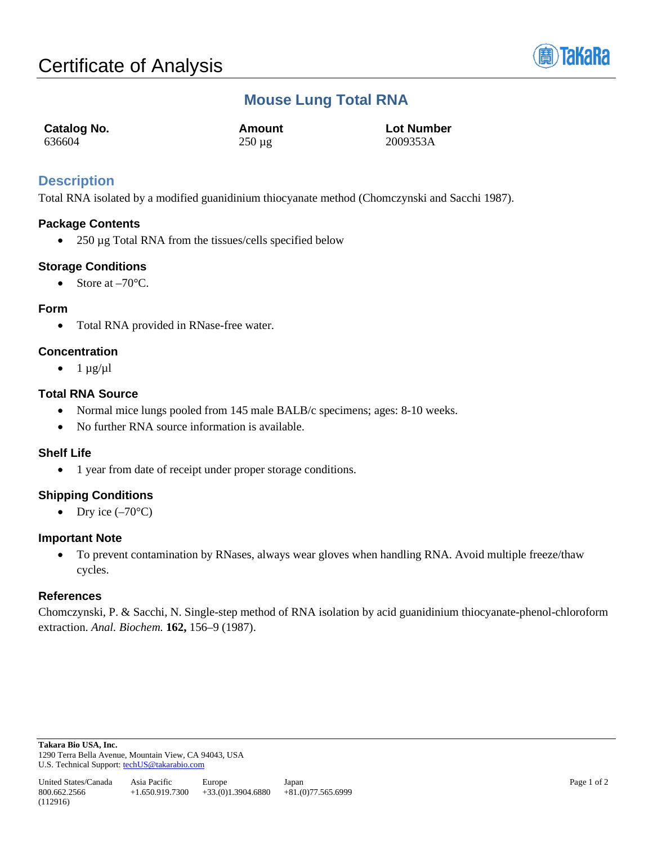

# **Mouse Lung Total RNA**

| Catalog No. | Amount                 | <b>Lot Number</b> |
|-------------|------------------------|-------------------|
| 636604      | $250 \,\mathrm{\mu g}$ | 2009353A          |

## **Description**

Total RNA isolated by a modified guanidinium thiocyanate method (Chomczynski and Sacchi 1987).

## **Package Contents**

• 250 µg Total RNA from the tissues/cells specified below

## **Storage Conditions**

• Store at  $-70^{\circ}$ C.

#### **Form**

• Total RNA provided in RNase-free water.

## **Concentration**

 $\bullet$  1  $\mu$ g/ $\mu$ l

## **Total RNA Source**

- Normal mice lungs pooled from 145 male BALB/c specimens; ages: 8-10 weeks.
- No further RNA source information is available.

#### **Shelf Life**

• 1 year from date of receipt under proper storage conditions.

## **Shipping Conditions**

• Dry ice  $(-70^{\circ}C)$ 

#### **Important Note**

• To prevent contamination by RNases, always wear gloves when handling RNA. Avoid multiple freeze/thaw cycles.

#### **References**

Chomczynski, P. & Sacchi, N. Single-step method of RNA isolation by acid guanidinium thiocyanate-phenol-chloroform extraction. *Anal. Biochem.* **162,** 156–9 (1987).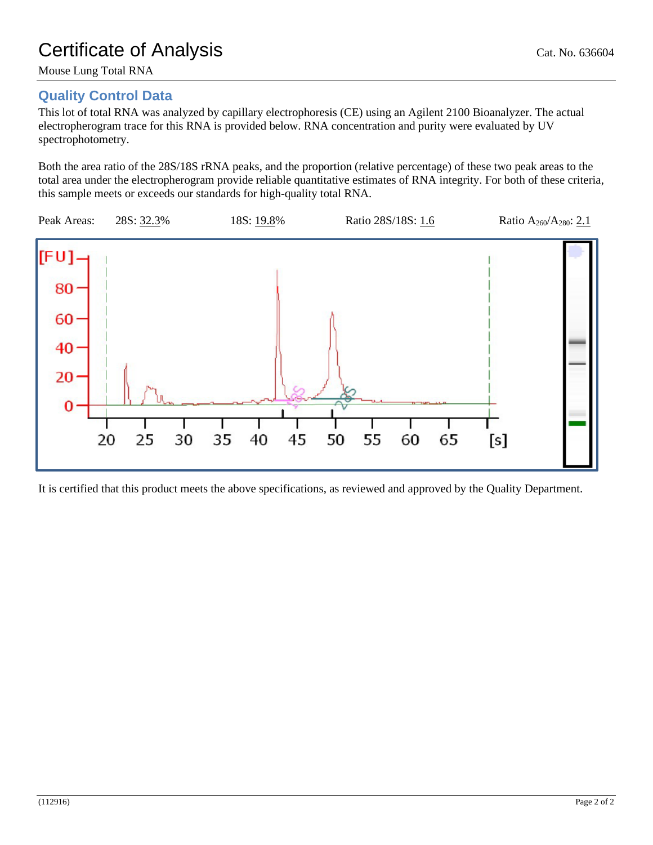Mouse Lung Total RNA

## **Quality Control Data**

This lot of total RNA was analyzed by capillary electrophoresis (CE) using an Agilent 2100 Bioanalyzer. The actual electropherogram trace for this RNA is provided below. RNA concentration and purity were evaluated by UV spectrophotometry.

Both the area ratio of the 28S/18S rRNA peaks, and the proportion (relative percentage) of these two peak areas to the total area under the electropherogram provide reliable quantitative estimates of RNA integrity. For both of these criteria, this sample meets or exceeds our standards for high-quality total RNA.



It is certified that this product meets the above specifications, as reviewed and approved by the Quality Department.